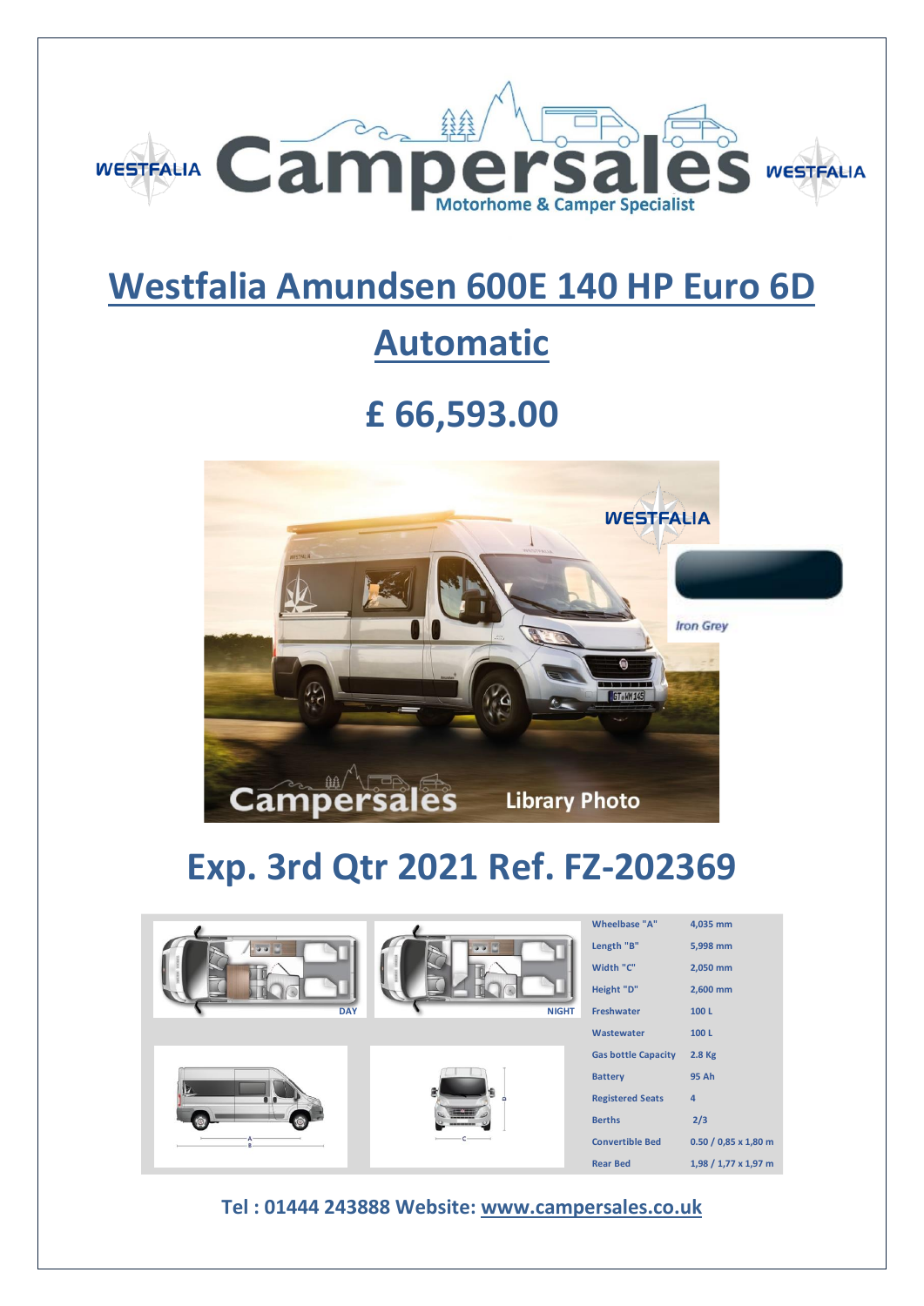

## **Westfalia Amundsen 600E 140 HP Euro 6D**

## **Automatic**

## **£ 66,593.00**



# **Exp. 3rd Qtr 2021 Ref. FZ-202369**

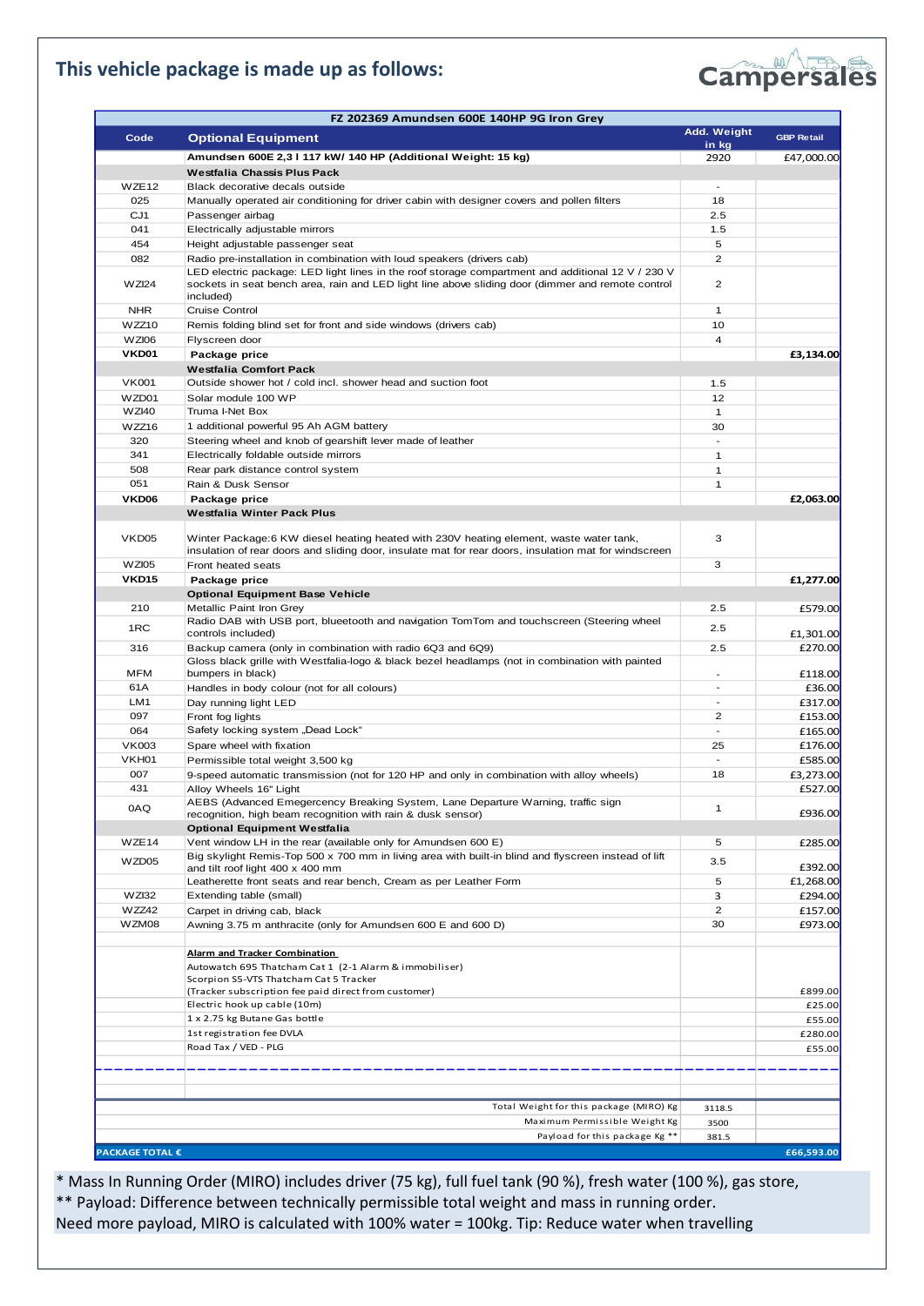### **This vehicle package is made up as follows:**



| Add. Weight<br><b>GBP Retail</b><br>Code<br><b>Optional Equipment</b><br>in kg<br>Amundsen 600E 2,3 I 117 kW/ 140 HP (Additional Weight: 15 kg)<br>2920<br>£47,000.00<br>Westfalia Chassis Plus Pack<br>WZE <sub>12</sub><br>Black decorative decals outside<br>$\overline{\phantom{a}}$<br>025<br>Manually operated air conditioning for driver cabin with designer covers and pollen filters<br>18<br>CJ1<br>2.5<br>Passenger airbag<br>041<br>Electrically adjustable mirrors<br>1.5<br>454<br>Height adjustable passenger seat<br>5<br>082<br>$\overline{2}$<br>Radio pre-installation in combination with loud speakers (drivers cab)<br>LED electric package: LED light lines in the roof storage compartment and additional 12 V / 230 V<br>sockets in seat bench area, rain and LED light line above sliding door (dimmer and remote control<br>$\overline{2}$<br>WZI24<br>included)<br><b>NHR</b><br>$\mathbf{1}$<br><b>Cruise Control</b><br>10<br>WZZ10<br>Remis folding blind set for front and side windows (drivers cab)<br><b>WZI06</b><br>4<br>Flyscreen door<br>VKD01<br>Package price<br>£3,134.00<br>Westfalia Comfort Pack<br><b>VK001</b><br>Outside shower hot / cold incl. shower head and suction foot<br>1.5<br>WZD01<br>12<br>Solar module 100 WP<br><b>WZI40</b><br>Truma I-Net Box<br>$\mathbf{1}$<br>WZZ16<br>1 additional powerful 95 Ah AGM battery<br>30<br>320<br>Steering wheel and knob of gearshift lever made of leather<br>$\overline{\phantom{a}}$<br>341<br>Electrically foldable outside mirrors<br>1<br>508<br>Rear park distance control system<br>1<br>051<br>1<br>Rain & Dusk Sensor<br>VKD06<br>Package price<br>£2,063.00<br>Westfalia Winter Pack Plus<br>Winter Package:6 KW diesel heating heated with 230V heating element, waste water tank,<br>3<br>VKD <sub>05</sub><br>insulation of rear doors and sliding door, insulate mat for rear doors, insulation mat for windscreen<br>3<br>WZI05<br>Front heated seats<br><b>VKD15</b><br>Package price<br>£1,277.00<br><b>Optional Equipment Base Vehicle</b><br>210<br>Metallic Paint Iron Grey<br>2.5<br>£579.00<br>Radio DAB with USB port, blueetooth and navigation TomTom and touchscreen (Steering wheel<br>1RC<br>2.5<br>controls included)<br>£1,301.00<br>316<br>2.5<br>£270.00<br>Backup camera (only in combination with radio 6Q3 and 6Q9)<br>Gloss black grille with Westfalia-logo & black bezel headlamps (not in combination with painted<br>MFM<br>bumpers in black)<br>£118.00<br>61A<br>£36.00<br>Handles in body colour (not for all colours)<br>LM <sub>1</sub><br>£317.00<br>Day running light LED<br>097<br>2<br>£153.00<br>Front fog lights<br>Safety locking system "Dead Lock"<br>064<br>$\overline{a}$<br>£165.00<br><b>VK003</b><br>25<br>£176.00<br>Spare wheel with fixation<br>VKH01<br>£585.00<br>Permissible total weight 3,500 kg<br>$\overline{\phantom{a}}$<br>007<br>18<br>£3,273.00<br>9-speed automatic transmission (not for 120 HP and only in combination with alloy wheels)<br>431<br>£527.00<br>Alloy Wheels 16" Light<br>AEBS (Advanced Emegercency Breaking System, Lane Departure Warning, traffic sign<br>0AQ<br>1<br>£936.00<br>recognition, high beam recognition with rain & dusk sensor)<br><b>Optional Equipment Westfalia</b><br>Vent window LH in the rear (available only for Amundsen 600 E)<br>WZE <sub>14</sub><br>5<br>£285.00<br>Big skylight Remis-Top 500 x 700 mm in living area with built-in blind and flyscreen instead of lift<br>WZD05<br>3.5<br>£392.00<br>and tilt roof light 400 x 400 mm<br>Leatherette front seats and rear bench, Cream as per Leather Form<br>5<br>£1,268.00<br>WZI32<br>з<br>£294.00<br>Extending table (small)<br>WZZ42<br>2<br>£157.00<br>Carpet in driving cab, black<br>WZM08<br>£973.00<br>Awning 3.75 m anthracite (only for Amundsen 600 E and 600 D)<br>30<br><b>Alarm and Tracker Combination</b><br>Autowatch 695 Thatcham Cat 1 (2-1 Alarm & immobiliser)<br>Scorpion S5-VTS Thatcham Cat 5 Tracker<br>£899.00<br>(Tracker subscription fee paid direct from customer)<br>Electric hook up cable (10m)<br>£25.00<br>1 x 2.75 kg Butane Gas bottle<br>£55.00<br>1st registration fee DVLA<br>£280.00<br>Road Tax / VED - PLG<br>£55.00<br>Total Weight for this package (MIRO) Kg<br>3118.5<br>Maximum Permissible Weight Kg<br>3500<br>Payload for this package Kg **<br>381.5 | FZ 202369 Amundsen 600E 140HP 9G Iron Grey |  |
|-------------------------------------------------------------------------------------------------------------------------------------------------------------------------------------------------------------------------------------------------------------------------------------------------------------------------------------------------------------------------------------------------------------------------------------------------------------------------------------------------------------------------------------------------------------------------------------------------------------------------------------------------------------------------------------------------------------------------------------------------------------------------------------------------------------------------------------------------------------------------------------------------------------------------------------------------------------------------------------------------------------------------------------------------------------------------------------------------------------------------------------------------------------------------------------------------------------------------------------------------------------------------------------------------------------------------------------------------------------------------------------------------------------------------------------------------------------------------------------------------------------------------------------------------------------------------------------------------------------------------------------------------------------------------------------------------------------------------------------------------------------------------------------------------------------------------------------------------------------------------------------------------------------------------------------------------------------------------------------------------------------------------------------------------------------------------------------------------------------------------------------------------------------------------------------------------------------------------------------------------------------------------------------------------------------------------------------------------------------------------------------------------------------------------------------------------------------------------------------------------------------------------------------------------------------------------------------------------------------------------------------------------------------------------------------------------------------------------------------------------------------------------------------------------------------------------------------------------------------------------------------------------------------------------------------------------------------------------------------------------------------------------------------------------------------------------------------------------------------------------------------------------------------------------------------------------------------------------------------------------------------------------------------------------------------------------------------------------------------------------------------------------------------------------------------------------------------------------------------------------------------------------------------------------------------------------------------------------------------------------------------------------------------------------------------------------------------------------------------------------------------------------------------------------------------------------------------------------------------------------------------------------------------------------------------------------------------------------------------------------------------------------------------------------------------------------------------------------------------------------------------------------------------------------------------------------------------------------------------------------------------------------------------------------------------------------------------------------------------------------------------------|--------------------------------------------|--|
|                                                                                                                                                                                                                                                                                                                                                                                                                                                                                                                                                                                                                                                                                                                                                                                                                                                                                                                                                                                                                                                                                                                                                                                                                                                                                                                                                                                                                                                                                                                                                                                                                                                                                                                                                                                                                                                                                                                                                                                                                                                                                                                                                                                                                                                                                                                                                                                                                                                                                                                                                                                                                                                                                                                                                                                                                                                                                                                                                                                                                                                                                                                                                                                                                                                                                                                                                                                                                                                                                                                                                                                                                                                                                                                                                                                                                                                                                                                                                                                                                                                                                                                                                                                                                                                                                                                                                                                           |                                            |  |
|                                                                                                                                                                                                                                                                                                                                                                                                                                                                                                                                                                                                                                                                                                                                                                                                                                                                                                                                                                                                                                                                                                                                                                                                                                                                                                                                                                                                                                                                                                                                                                                                                                                                                                                                                                                                                                                                                                                                                                                                                                                                                                                                                                                                                                                                                                                                                                                                                                                                                                                                                                                                                                                                                                                                                                                                                                                                                                                                                                                                                                                                                                                                                                                                                                                                                                                                                                                                                                                                                                                                                                                                                                                                                                                                                                                                                                                                                                                                                                                                                                                                                                                                                                                                                                                                                                                                                                                           |                                            |  |
|                                                                                                                                                                                                                                                                                                                                                                                                                                                                                                                                                                                                                                                                                                                                                                                                                                                                                                                                                                                                                                                                                                                                                                                                                                                                                                                                                                                                                                                                                                                                                                                                                                                                                                                                                                                                                                                                                                                                                                                                                                                                                                                                                                                                                                                                                                                                                                                                                                                                                                                                                                                                                                                                                                                                                                                                                                                                                                                                                                                                                                                                                                                                                                                                                                                                                                                                                                                                                                                                                                                                                                                                                                                                                                                                                                                                                                                                                                                                                                                                                                                                                                                                                                                                                                                                                                                                                                                           |                                            |  |
|                                                                                                                                                                                                                                                                                                                                                                                                                                                                                                                                                                                                                                                                                                                                                                                                                                                                                                                                                                                                                                                                                                                                                                                                                                                                                                                                                                                                                                                                                                                                                                                                                                                                                                                                                                                                                                                                                                                                                                                                                                                                                                                                                                                                                                                                                                                                                                                                                                                                                                                                                                                                                                                                                                                                                                                                                                                                                                                                                                                                                                                                                                                                                                                                                                                                                                                                                                                                                                                                                                                                                                                                                                                                                                                                                                                                                                                                                                                                                                                                                                                                                                                                                                                                                                                                                                                                                                                           |                                            |  |
|                                                                                                                                                                                                                                                                                                                                                                                                                                                                                                                                                                                                                                                                                                                                                                                                                                                                                                                                                                                                                                                                                                                                                                                                                                                                                                                                                                                                                                                                                                                                                                                                                                                                                                                                                                                                                                                                                                                                                                                                                                                                                                                                                                                                                                                                                                                                                                                                                                                                                                                                                                                                                                                                                                                                                                                                                                                                                                                                                                                                                                                                                                                                                                                                                                                                                                                                                                                                                                                                                                                                                                                                                                                                                                                                                                                                                                                                                                                                                                                                                                                                                                                                                                                                                                                                                                                                                                                           |                                            |  |
|                                                                                                                                                                                                                                                                                                                                                                                                                                                                                                                                                                                                                                                                                                                                                                                                                                                                                                                                                                                                                                                                                                                                                                                                                                                                                                                                                                                                                                                                                                                                                                                                                                                                                                                                                                                                                                                                                                                                                                                                                                                                                                                                                                                                                                                                                                                                                                                                                                                                                                                                                                                                                                                                                                                                                                                                                                                                                                                                                                                                                                                                                                                                                                                                                                                                                                                                                                                                                                                                                                                                                                                                                                                                                                                                                                                                                                                                                                                                                                                                                                                                                                                                                                                                                                                                                                                                                                                           |                                            |  |
|                                                                                                                                                                                                                                                                                                                                                                                                                                                                                                                                                                                                                                                                                                                                                                                                                                                                                                                                                                                                                                                                                                                                                                                                                                                                                                                                                                                                                                                                                                                                                                                                                                                                                                                                                                                                                                                                                                                                                                                                                                                                                                                                                                                                                                                                                                                                                                                                                                                                                                                                                                                                                                                                                                                                                                                                                                                                                                                                                                                                                                                                                                                                                                                                                                                                                                                                                                                                                                                                                                                                                                                                                                                                                                                                                                                                                                                                                                                                                                                                                                                                                                                                                                                                                                                                                                                                                                                           |                                            |  |
|                                                                                                                                                                                                                                                                                                                                                                                                                                                                                                                                                                                                                                                                                                                                                                                                                                                                                                                                                                                                                                                                                                                                                                                                                                                                                                                                                                                                                                                                                                                                                                                                                                                                                                                                                                                                                                                                                                                                                                                                                                                                                                                                                                                                                                                                                                                                                                                                                                                                                                                                                                                                                                                                                                                                                                                                                                                                                                                                                                                                                                                                                                                                                                                                                                                                                                                                                                                                                                                                                                                                                                                                                                                                                                                                                                                                                                                                                                                                                                                                                                                                                                                                                                                                                                                                                                                                                                                           |                                            |  |
|                                                                                                                                                                                                                                                                                                                                                                                                                                                                                                                                                                                                                                                                                                                                                                                                                                                                                                                                                                                                                                                                                                                                                                                                                                                                                                                                                                                                                                                                                                                                                                                                                                                                                                                                                                                                                                                                                                                                                                                                                                                                                                                                                                                                                                                                                                                                                                                                                                                                                                                                                                                                                                                                                                                                                                                                                                                                                                                                                                                                                                                                                                                                                                                                                                                                                                                                                                                                                                                                                                                                                                                                                                                                                                                                                                                                                                                                                                                                                                                                                                                                                                                                                                                                                                                                                                                                                                                           |                                            |  |
|                                                                                                                                                                                                                                                                                                                                                                                                                                                                                                                                                                                                                                                                                                                                                                                                                                                                                                                                                                                                                                                                                                                                                                                                                                                                                                                                                                                                                                                                                                                                                                                                                                                                                                                                                                                                                                                                                                                                                                                                                                                                                                                                                                                                                                                                                                                                                                                                                                                                                                                                                                                                                                                                                                                                                                                                                                                                                                                                                                                                                                                                                                                                                                                                                                                                                                                                                                                                                                                                                                                                                                                                                                                                                                                                                                                                                                                                                                                                                                                                                                                                                                                                                                                                                                                                                                                                                                                           |                                            |  |
|                                                                                                                                                                                                                                                                                                                                                                                                                                                                                                                                                                                                                                                                                                                                                                                                                                                                                                                                                                                                                                                                                                                                                                                                                                                                                                                                                                                                                                                                                                                                                                                                                                                                                                                                                                                                                                                                                                                                                                                                                                                                                                                                                                                                                                                                                                                                                                                                                                                                                                                                                                                                                                                                                                                                                                                                                                                                                                                                                                                                                                                                                                                                                                                                                                                                                                                                                                                                                                                                                                                                                                                                                                                                                                                                                                                                                                                                                                                                                                                                                                                                                                                                                                                                                                                                                                                                                                                           |                                            |  |
|                                                                                                                                                                                                                                                                                                                                                                                                                                                                                                                                                                                                                                                                                                                                                                                                                                                                                                                                                                                                                                                                                                                                                                                                                                                                                                                                                                                                                                                                                                                                                                                                                                                                                                                                                                                                                                                                                                                                                                                                                                                                                                                                                                                                                                                                                                                                                                                                                                                                                                                                                                                                                                                                                                                                                                                                                                                                                                                                                                                                                                                                                                                                                                                                                                                                                                                                                                                                                                                                                                                                                                                                                                                                                                                                                                                                                                                                                                                                                                                                                                                                                                                                                                                                                                                                                                                                                                                           |                                            |  |
|                                                                                                                                                                                                                                                                                                                                                                                                                                                                                                                                                                                                                                                                                                                                                                                                                                                                                                                                                                                                                                                                                                                                                                                                                                                                                                                                                                                                                                                                                                                                                                                                                                                                                                                                                                                                                                                                                                                                                                                                                                                                                                                                                                                                                                                                                                                                                                                                                                                                                                                                                                                                                                                                                                                                                                                                                                                                                                                                                                                                                                                                                                                                                                                                                                                                                                                                                                                                                                                                                                                                                                                                                                                                                                                                                                                                                                                                                                                                                                                                                                                                                                                                                                                                                                                                                                                                                                                           |                                            |  |
|                                                                                                                                                                                                                                                                                                                                                                                                                                                                                                                                                                                                                                                                                                                                                                                                                                                                                                                                                                                                                                                                                                                                                                                                                                                                                                                                                                                                                                                                                                                                                                                                                                                                                                                                                                                                                                                                                                                                                                                                                                                                                                                                                                                                                                                                                                                                                                                                                                                                                                                                                                                                                                                                                                                                                                                                                                                                                                                                                                                                                                                                                                                                                                                                                                                                                                                                                                                                                                                                                                                                                                                                                                                                                                                                                                                                                                                                                                                                                                                                                                                                                                                                                                                                                                                                                                                                                                                           |                                            |  |
|                                                                                                                                                                                                                                                                                                                                                                                                                                                                                                                                                                                                                                                                                                                                                                                                                                                                                                                                                                                                                                                                                                                                                                                                                                                                                                                                                                                                                                                                                                                                                                                                                                                                                                                                                                                                                                                                                                                                                                                                                                                                                                                                                                                                                                                                                                                                                                                                                                                                                                                                                                                                                                                                                                                                                                                                                                                                                                                                                                                                                                                                                                                                                                                                                                                                                                                                                                                                                                                                                                                                                                                                                                                                                                                                                                                                                                                                                                                                                                                                                                                                                                                                                                                                                                                                                                                                                                                           |                                            |  |
|                                                                                                                                                                                                                                                                                                                                                                                                                                                                                                                                                                                                                                                                                                                                                                                                                                                                                                                                                                                                                                                                                                                                                                                                                                                                                                                                                                                                                                                                                                                                                                                                                                                                                                                                                                                                                                                                                                                                                                                                                                                                                                                                                                                                                                                                                                                                                                                                                                                                                                                                                                                                                                                                                                                                                                                                                                                                                                                                                                                                                                                                                                                                                                                                                                                                                                                                                                                                                                                                                                                                                                                                                                                                                                                                                                                                                                                                                                                                                                                                                                                                                                                                                                                                                                                                                                                                                                                           |                                            |  |
|                                                                                                                                                                                                                                                                                                                                                                                                                                                                                                                                                                                                                                                                                                                                                                                                                                                                                                                                                                                                                                                                                                                                                                                                                                                                                                                                                                                                                                                                                                                                                                                                                                                                                                                                                                                                                                                                                                                                                                                                                                                                                                                                                                                                                                                                                                                                                                                                                                                                                                                                                                                                                                                                                                                                                                                                                                                                                                                                                                                                                                                                                                                                                                                                                                                                                                                                                                                                                                                                                                                                                                                                                                                                                                                                                                                                                                                                                                                                                                                                                                                                                                                                                                                                                                                                                                                                                                                           |                                            |  |
|                                                                                                                                                                                                                                                                                                                                                                                                                                                                                                                                                                                                                                                                                                                                                                                                                                                                                                                                                                                                                                                                                                                                                                                                                                                                                                                                                                                                                                                                                                                                                                                                                                                                                                                                                                                                                                                                                                                                                                                                                                                                                                                                                                                                                                                                                                                                                                                                                                                                                                                                                                                                                                                                                                                                                                                                                                                                                                                                                                                                                                                                                                                                                                                                                                                                                                                                                                                                                                                                                                                                                                                                                                                                                                                                                                                                                                                                                                                                                                                                                                                                                                                                                                                                                                                                                                                                                                                           |                                            |  |
|                                                                                                                                                                                                                                                                                                                                                                                                                                                                                                                                                                                                                                                                                                                                                                                                                                                                                                                                                                                                                                                                                                                                                                                                                                                                                                                                                                                                                                                                                                                                                                                                                                                                                                                                                                                                                                                                                                                                                                                                                                                                                                                                                                                                                                                                                                                                                                                                                                                                                                                                                                                                                                                                                                                                                                                                                                                                                                                                                                                                                                                                                                                                                                                                                                                                                                                                                                                                                                                                                                                                                                                                                                                                                                                                                                                                                                                                                                                                                                                                                                                                                                                                                                                                                                                                                                                                                                                           |                                            |  |
|                                                                                                                                                                                                                                                                                                                                                                                                                                                                                                                                                                                                                                                                                                                                                                                                                                                                                                                                                                                                                                                                                                                                                                                                                                                                                                                                                                                                                                                                                                                                                                                                                                                                                                                                                                                                                                                                                                                                                                                                                                                                                                                                                                                                                                                                                                                                                                                                                                                                                                                                                                                                                                                                                                                                                                                                                                                                                                                                                                                                                                                                                                                                                                                                                                                                                                                                                                                                                                                                                                                                                                                                                                                                                                                                                                                                                                                                                                                                                                                                                                                                                                                                                                                                                                                                                                                                                                                           |                                            |  |
|                                                                                                                                                                                                                                                                                                                                                                                                                                                                                                                                                                                                                                                                                                                                                                                                                                                                                                                                                                                                                                                                                                                                                                                                                                                                                                                                                                                                                                                                                                                                                                                                                                                                                                                                                                                                                                                                                                                                                                                                                                                                                                                                                                                                                                                                                                                                                                                                                                                                                                                                                                                                                                                                                                                                                                                                                                                                                                                                                                                                                                                                                                                                                                                                                                                                                                                                                                                                                                                                                                                                                                                                                                                                                                                                                                                                                                                                                                                                                                                                                                                                                                                                                                                                                                                                                                                                                                                           |                                            |  |
|                                                                                                                                                                                                                                                                                                                                                                                                                                                                                                                                                                                                                                                                                                                                                                                                                                                                                                                                                                                                                                                                                                                                                                                                                                                                                                                                                                                                                                                                                                                                                                                                                                                                                                                                                                                                                                                                                                                                                                                                                                                                                                                                                                                                                                                                                                                                                                                                                                                                                                                                                                                                                                                                                                                                                                                                                                                                                                                                                                                                                                                                                                                                                                                                                                                                                                                                                                                                                                                                                                                                                                                                                                                                                                                                                                                                                                                                                                                                                                                                                                                                                                                                                                                                                                                                                                                                                                                           |                                            |  |
|                                                                                                                                                                                                                                                                                                                                                                                                                                                                                                                                                                                                                                                                                                                                                                                                                                                                                                                                                                                                                                                                                                                                                                                                                                                                                                                                                                                                                                                                                                                                                                                                                                                                                                                                                                                                                                                                                                                                                                                                                                                                                                                                                                                                                                                                                                                                                                                                                                                                                                                                                                                                                                                                                                                                                                                                                                                                                                                                                                                                                                                                                                                                                                                                                                                                                                                                                                                                                                                                                                                                                                                                                                                                                                                                                                                                                                                                                                                                                                                                                                                                                                                                                                                                                                                                                                                                                                                           |                                            |  |
|                                                                                                                                                                                                                                                                                                                                                                                                                                                                                                                                                                                                                                                                                                                                                                                                                                                                                                                                                                                                                                                                                                                                                                                                                                                                                                                                                                                                                                                                                                                                                                                                                                                                                                                                                                                                                                                                                                                                                                                                                                                                                                                                                                                                                                                                                                                                                                                                                                                                                                                                                                                                                                                                                                                                                                                                                                                                                                                                                                                                                                                                                                                                                                                                                                                                                                                                                                                                                                                                                                                                                                                                                                                                                                                                                                                                                                                                                                                                                                                                                                                                                                                                                                                                                                                                                                                                                                                           |                                            |  |
|                                                                                                                                                                                                                                                                                                                                                                                                                                                                                                                                                                                                                                                                                                                                                                                                                                                                                                                                                                                                                                                                                                                                                                                                                                                                                                                                                                                                                                                                                                                                                                                                                                                                                                                                                                                                                                                                                                                                                                                                                                                                                                                                                                                                                                                                                                                                                                                                                                                                                                                                                                                                                                                                                                                                                                                                                                                                                                                                                                                                                                                                                                                                                                                                                                                                                                                                                                                                                                                                                                                                                                                                                                                                                                                                                                                                                                                                                                                                                                                                                                                                                                                                                                                                                                                                                                                                                                                           |                                            |  |
|                                                                                                                                                                                                                                                                                                                                                                                                                                                                                                                                                                                                                                                                                                                                                                                                                                                                                                                                                                                                                                                                                                                                                                                                                                                                                                                                                                                                                                                                                                                                                                                                                                                                                                                                                                                                                                                                                                                                                                                                                                                                                                                                                                                                                                                                                                                                                                                                                                                                                                                                                                                                                                                                                                                                                                                                                                                                                                                                                                                                                                                                                                                                                                                                                                                                                                                                                                                                                                                                                                                                                                                                                                                                                                                                                                                                                                                                                                                                                                                                                                                                                                                                                                                                                                                                                                                                                                                           |                                            |  |
|                                                                                                                                                                                                                                                                                                                                                                                                                                                                                                                                                                                                                                                                                                                                                                                                                                                                                                                                                                                                                                                                                                                                                                                                                                                                                                                                                                                                                                                                                                                                                                                                                                                                                                                                                                                                                                                                                                                                                                                                                                                                                                                                                                                                                                                                                                                                                                                                                                                                                                                                                                                                                                                                                                                                                                                                                                                                                                                                                                                                                                                                                                                                                                                                                                                                                                                                                                                                                                                                                                                                                                                                                                                                                                                                                                                                                                                                                                                                                                                                                                                                                                                                                                                                                                                                                                                                                                                           |                                            |  |
|                                                                                                                                                                                                                                                                                                                                                                                                                                                                                                                                                                                                                                                                                                                                                                                                                                                                                                                                                                                                                                                                                                                                                                                                                                                                                                                                                                                                                                                                                                                                                                                                                                                                                                                                                                                                                                                                                                                                                                                                                                                                                                                                                                                                                                                                                                                                                                                                                                                                                                                                                                                                                                                                                                                                                                                                                                                                                                                                                                                                                                                                                                                                                                                                                                                                                                                                                                                                                                                                                                                                                                                                                                                                                                                                                                                                                                                                                                                                                                                                                                                                                                                                                                                                                                                                                                                                                                                           |                                            |  |
|                                                                                                                                                                                                                                                                                                                                                                                                                                                                                                                                                                                                                                                                                                                                                                                                                                                                                                                                                                                                                                                                                                                                                                                                                                                                                                                                                                                                                                                                                                                                                                                                                                                                                                                                                                                                                                                                                                                                                                                                                                                                                                                                                                                                                                                                                                                                                                                                                                                                                                                                                                                                                                                                                                                                                                                                                                                                                                                                                                                                                                                                                                                                                                                                                                                                                                                                                                                                                                                                                                                                                                                                                                                                                                                                                                                                                                                                                                                                                                                                                                                                                                                                                                                                                                                                                                                                                                                           |                                            |  |
|                                                                                                                                                                                                                                                                                                                                                                                                                                                                                                                                                                                                                                                                                                                                                                                                                                                                                                                                                                                                                                                                                                                                                                                                                                                                                                                                                                                                                                                                                                                                                                                                                                                                                                                                                                                                                                                                                                                                                                                                                                                                                                                                                                                                                                                                                                                                                                                                                                                                                                                                                                                                                                                                                                                                                                                                                                                                                                                                                                                                                                                                                                                                                                                                                                                                                                                                                                                                                                                                                                                                                                                                                                                                                                                                                                                                                                                                                                                                                                                                                                                                                                                                                                                                                                                                                                                                                                                           |                                            |  |
|                                                                                                                                                                                                                                                                                                                                                                                                                                                                                                                                                                                                                                                                                                                                                                                                                                                                                                                                                                                                                                                                                                                                                                                                                                                                                                                                                                                                                                                                                                                                                                                                                                                                                                                                                                                                                                                                                                                                                                                                                                                                                                                                                                                                                                                                                                                                                                                                                                                                                                                                                                                                                                                                                                                                                                                                                                                                                                                                                                                                                                                                                                                                                                                                                                                                                                                                                                                                                                                                                                                                                                                                                                                                                                                                                                                                                                                                                                                                                                                                                                                                                                                                                                                                                                                                                                                                                                                           |                                            |  |
|                                                                                                                                                                                                                                                                                                                                                                                                                                                                                                                                                                                                                                                                                                                                                                                                                                                                                                                                                                                                                                                                                                                                                                                                                                                                                                                                                                                                                                                                                                                                                                                                                                                                                                                                                                                                                                                                                                                                                                                                                                                                                                                                                                                                                                                                                                                                                                                                                                                                                                                                                                                                                                                                                                                                                                                                                                                                                                                                                                                                                                                                                                                                                                                                                                                                                                                                                                                                                                                                                                                                                                                                                                                                                                                                                                                                                                                                                                                                                                                                                                                                                                                                                                                                                                                                                                                                                                                           |                                            |  |
|                                                                                                                                                                                                                                                                                                                                                                                                                                                                                                                                                                                                                                                                                                                                                                                                                                                                                                                                                                                                                                                                                                                                                                                                                                                                                                                                                                                                                                                                                                                                                                                                                                                                                                                                                                                                                                                                                                                                                                                                                                                                                                                                                                                                                                                                                                                                                                                                                                                                                                                                                                                                                                                                                                                                                                                                                                                                                                                                                                                                                                                                                                                                                                                                                                                                                                                                                                                                                                                                                                                                                                                                                                                                                                                                                                                                                                                                                                                                                                                                                                                                                                                                                                                                                                                                                                                                                                                           |                                            |  |
|                                                                                                                                                                                                                                                                                                                                                                                                                                                                                                                                                                                                                                                                                                                                                                                                                                                                                                                                                                                                                                                                                                                                                                                                                                                                                                                                                                                                                                                                                                                                                                                                                                                                                                                                                                                                                                                                                                                                                                                                                                                                                                                                                                                                                                                                                                                                                                                                                                                                                                                                                                                                                                                                                                                                                                                                                                                                                                                                                                                                                                                                                                                                                                                                                                                                                                                                                                                                                                                                                                                                                                                                                                                                                                                                                                                                                                                                                                                                                                                                                                                                                                                                                                                                                                                                                                                                                                                           |                                            |  |
|                                                                                                                                                                                                                                                                                                                                                                                                                                                                                                                                                                                                                                                                                                                                                                                                                                                                                                                                                                                                                                                                                                                                                                                                                                                                                                                                                                                                                                                                                                                                                                                                                                                                                                                                                                                                                                                                                                                                                                                                                                                                                                                                                                                                                                                                                                                                                                                                                                                                                                                                                                                                                                                                                                                                                                                                                                                                                                                                                                                                                                                                                                                                                                                                                                                                                                                                                                                                                                                                                                                                                                                                                                                                                                                                                                                                                                                                                                                                                                                                                                                                                                                                                                                                                                                                                                                                                                                           |                                            |  |
|                                                                                                                                                                                                                                                                                                                                                                                                                                                                                                                                                                                                                                                                                                                                                                                                                                                                                                                                                                                                                                                                                                                                                                                                                                                                                                                                                                                                                                                                                                                                                                                                                                                                                                                                                                                                                                                                                                                                                                                                                                                                                                                                                                                                                                                                                                                                                                                                                                                                                                                                                                                                                                                                                                                                                                                                                                                                                                                                                                                                                                                                                                                                                                                                                                                                                                                                                                                                                                                                                                                                                                                                                                                                                                                                                                                                                                                                                                                                                                                                                                                                                                                                                                                                                                                                                                                                                                                           |                                            |  |
|                                                                                                                                                                                                                                                                                                                                                                                                                                                                                                                                                                                                                                                                                                                                                                                                                                                                                                                                                                                                                                                                                                                                                                                                                                                                                                                                                                                                                                                                                                                                                                                                                                                                                                                                                                                                                                                                                                                                                                                                                                                                                                                                                                                                                                                                                                                                                                                                                                                                                                                                                                                                                                                                                                                                                                                                                                                                                                                                                                                                                                                                                                                                                                                                                                                                                                                                                                                                                                                                                                                                                                                                                                                                                                                                                                                                                                                                                                                                                                                                                                                                                                                                                                                                                                                                                                                                                                                           |                                            |  |
|                                                                                                                                                                                                                                                                                                                                                                                                                                                                                                                                                                                                                                                                                                                                                                                                                                                                                                                                                                                                                                                                                                                                                                                                                                                                                                                                                                                                                                                                                                                                                                                                                                                                                                                                                                                                                                                                                                                                                                                                                                                                                                                                                                                                                                                                                                                                                                                                                                                                                                                                                                                                                                                                                                                                                                                                                                                                                                                                                                                                                                                                                                                                                                                                                                                                                                                                                                                                                                                                                                                                                                                                                                                                                                                                                                                                                                                                                                                                                                                                                                                                                                                                                                                                                                                                                                                                                                                           |                                            |  |
|                                                                                                                                                                                                                                                                                                                                                                                                                                                                                                                                                                                                                                                                                                                                                                                                                                                                                                                                                                                                                                                                                                                                                                                                                                                                                                                                                                                                                                                                                                                                                                                                                                                                                                                                                                                                                                                                                                                                                                                                                                                                                                                                                                                                                                                                                                                                                                                                                                                                                                                                                                                                                                                                                                                                                                                                                                                                                                                                                                                                                                                                                                                                                                                                                                                                                                                                                                                                                                                                                                                                                                                                                                                                                                                                                                                                                                                                                                                                                                                                                                                                                                                                                                                                                                                                                                                                                                                           |                                            |  |
|                                                                                                                                                                                                                                                                                                                                                                                                                                                                                                                                                                                                                                                                                                                                                                                                                                                                                                                                                                                                                                                                                                                                                                                                                                                                                                                                                                                                                                                                                                                                                                                                                                                                                                                                                                                                                                                                                                                                                                                                                                                                                                                                                                                                                                                                                                                                                                                                                                                                                                                                                                                                                                                                                                                                                                                                                                                                                                                                                                                                                                                                                                                                                                                                                                                                                                                                                                                                                                                                                                                                                                                                                                                                                                                                                                                                                                                                                                                                                                                                                                                                                                                                                                                                                                                                                                                                                                                           |                                            |  |
|                                                                                                                                                                                                                                                                                                                                                                                                                                                                                                                                                                                                                                                                                                                                                                                                                                                                                                                                                                                                                                                                                                                                                                                                                                                                                                                                                                                                                                                                                                                                                                                                                                                                                                                                                                                                                                                                                                                                                                                                                                                                                                                                                                                                                                                                                                                                                                                                                                                                                                                                                                                                                                                                                                                                                                                                                                                                                                                                                                                                                                                                                                                                                                                                                                                                                                                                                                                                                                                                                                                                                                                                                                                                                                                                                                                                                                                                                                                                                                                                                                                                                                                                                                                                                                                                                                                                                                                           |                                            |  |
|                                                                                                                                                                                                                                                                                                                                                                                                                                                                                                                                                                                                                                                                                                                                                                                                                                                                                                                                                                                                                                                                                                                                                                                                                                                                                                                                                                                                                                                                                                                                                                                                                                                                                                                                                                                                                                                                                                                                                                                                                                                                                                                                                                                                                                                                                                                                                                                                                                                                                                                                                                                                                                                                                                                                                                                                                                                                                                                                                                                                                                                                                                                                                                                                                                                                                                                                                                                                                                                                                                                                                                                                                                                                                                                                                                                                                                                                                                                                                                                                                                                                                                                                                                                                                                                                                                                                                                                           |                                            |  |
|                                                                                                                                                                                                                                                                                                                                                                                                                                                                                                                                                                                                                                                                                                                                                                                                                                                                                                                                                                                                                                                                                                                                                                                                                                                                                                                                                                                                                                                                                                                                                                                                                                                                                                                                                                                                                                                                                                                                                                                                                                                                                                                                                                                                                                                                                                                                                                                                                                                                                                                                                                                                                                                                                                                                                                                                                                                                                                                                                                                                                                                                                                                                                                                                                                                                                                                                                                                                                                                                                                                                                                                                                                                                                                                                                                                                                                                                                                                                                                                                                                                                                                                                                                                                                                                                                                                                                                                           |                                            |  |
|                                                                                                                                                                                                                                                                                                                                                                                                                                                                                                                                                                                                                                                                                                                                                                                                                                                                                                                                                                                                                                                                                                                                                                                                                                                                                                                                                                                                                                                                                                                                                                                                                                                                                                                                                                                                                                                                                                                                                                                                                                                                                                                                                                                                                                                                                                                                                                                                                                                                                                                                                                                                                                                                                                                                                                                                                                                                                                                                                                                                                                                                                                                                                                                                                                                                                                                                                                                                                                                                                                                                                                                                                                                                                                                                                                                                                                                                                                                                                                                                                                                                                                                                                                                                                                                                                                                                                                                           |                                            |  |
|                                                                                                                                                                                                                                                                                                                                                                                                                                                                                                                                                                                                                                                                                                                                                                                                                                                                                                                                                                                                                                                                                                                                                                                                                                                                                                                                                                                                                                                                                                                                                                                                                                                                                                                                                                                                                                                                                                                                                                                                                                                                                                                                                                                                                                                                                                                                                                                                                                                                                                                                                                                                                                                                                                                                                                                                                                                                                                                                                                                                                                                                                                                                                                                                                                                                                                                                                                                                                                                                                                                                                                                                                                                                                                                                                                                                                                                                                                                                                                                                                                                                                                                                                                                                                                                                                                                                                                                           |                                            |  |
|                                                                                                                                                                                                                                                                                                                                                                                                                                                                                                                                                                                                                                                                                                                                                                                                                                                                                                                                                                                                                                                                                                                                                                                                                                                                                                                                                                                                                                                                                                                                                                                                                                                                                                                                                                                                                                                                                                                                                                                                                                                                                                                                                                                                                                                                                                                                                                                                                                                                                                                                                                                                                                                                                                                                                                                                                                                                                                                                                                                                                                                                                                                                                                                                                                                                                                                                                                                                                                                                                                                                                                                                                                                                                                                                                                                                                                                                                                                                                                                                                                                                                                                                                                                                                                                                                                                                                                                           |                                            |  |
|                                                                                                                                                                                                                                                                                                                                                                                                                                                                                                                                                                                                                                                                                                                                                                                                                                                                                                                                                                                                                                                                                                                                                                                                                                                                                                                                                                                                                                                                                                                                                                                                                                                                                                                                                                                                                                                                                                                                                                                                                                                                                                                                                                                                                                                                                                                                                                                                                                                                                                                                                                                                                                                                                                                                                                                                                                                                                                                                                                                                                                                                                                                                                                                                                                                                                                                                                                                                                                                                                                                                                                                                                                                                                                                                                                                                                                                                                                                                                                                                                                                                                                                                                                                                                                                                                                                                                                                           |                                            |  |
|                                                                                                                                                                                                                                                                                                                                                                                                                                                                                                                                                                                                                                                                                                                                                                                                                                                                                                                                                                                                                                                                                                                                                                                                                                                                                                                                                                                                                                                                                                                                                                                                                                                                                                                                                                                                                                                                                                                                                                                                                                                                                                                                                                                                                                                                                                                                                                                                                                                                                                                                                                                                                                                                                                                                                                                                                                                                                                                                                                                                                                                                                                                                                                                                                                                                                                                                                                                                                                                                                                                                                                                                                                                                                                                                                                                                                                                                                                                                                                                                                                                                                                                                                                                                                                                                                                                                                                                           |                                            |  |
|                                                                                                                                                                                                                                                                                                                                                                                                                                                                                                                                                                                                                                                                                                                                                                                                                                                                                                                                                                                                                                                                                                                                                                                                                                                                                                                                                                                                                                                                                                                                                                                                                                                                                                                                                                                                                                                                                                                                                                                                                                                                                                                                                                                                                                                                                                                                                                                                                                                                                                                                                                                                                                                                                                                                                                                                                                                                                                                                                                                                                                                                                                                                                                                                                                                                                                                                                                                                                                                                                                                                                                                                                                                                                                                                                                                                                                                                                                                                                                                                                                                                                                                                                                                                                                                                                                                                                                                           |                                            |  |
|                                                                                                                                                                                                                                                                                                                                                                                                                                                                                                                                                                                                                                                                                                                                                                                                                                                                                                                                                                                                                                                                                                                                                                                                                                                                                                                                                                                                                                                                                                                                                                                                                                                                                                                                                                                                                                                                                                                                                                                                                                                                                                                                                                                                                                                                                                                                                                                                                                                                                                                                                                                                                                                                                                                                                                                                                                                                                                                                                                                                                                                                                                                                                                                                                                                                                                                                                                                                                                                                                                                                                                                                                                                                                                                                                                                                                                                                                                                                                                                                                                                                                                                                                                                                                                                                                                                                                                                           |                                            |  |
|                                                                                                                                                                                                                                                                                                                                                                                                                                                                                                                                                                                                                                                                                                                                                                                                                                                                                                                                                                                                                                                                                                                                                                                                                                                                                                                                                                                                                                                                                                                                                                                                                                                                                                                                                                                                                                                                                                                                                                                                                                                                                                                                                                                                                                                                                                                                                                                                                                                                                                                                                                                                                                                                                                                                                                                                                                                                                                                                                                                                                                                                                                                                                                                                                                                                                                                                                                                                                                                                                                                                                                                                                                                                                                                                                                                                                                                                                                                                                                                                                                                                                                                                                                                                                                                                                                                                                                                           |                                            |  |
|                                                                                                                                                                                                                                                                                                                                                                                                                                                                                                                                                                                                                                                                                                                                                                                                                                                                                                                                                                                                                                                                                                                                                                                                                                                                                                                                                                                                                                                                                                                                                                                                                                                                                                                                                                                                                                                                                                                                                                                                                                                                                                                                                                                                                                                                                                                                                                                                                                                                                                                                                                                                                                                                                                                                                                                                                                                                                                                                                                                                                                                                                                                                                                                                                                                                                                                                                                                                                                                                                                                                                                                                                                                                                                                                                                                                                                                                                                                                                                                                                                                                                                                                                                                                                                                                                                                                                                                           |                                            |  |
|                                                                                                                                                                                                                                                                                                                                                                                                                                                                                                                                                                                                                                                                                                                                                                                                                                                                                                                                                                                                                                                                                                                                                                                                                                                                                                                                                                                                                                                                                                                                                                                                                                                                                                                                                                                                                                                                                                                                                                                                                                                                                                                                                                                                                                                                                                                                                                                                                                                                                                                                                                                                                                                                                                                                                                                                                                                                                                                                                                                                                                                                                                                                                                                                                                                                                                                                                                                                                                                                                                                                                                                                                                                                                                                                                                                                                                                                                                                                                                                                                                                                                                                                                                                                                                                                                                                                                                                           |                                            |  |
|                                                                                                                                                                                                                                                                                                                                                                                                                                                                                                                                                                                                                                                                                                                                                                                                                                                                                                                                                                                                                                                                                                                                                                                                                                                                                                                                                                                                                                                                                                                                                                                                                                                                                                                                                                                                                                                                                                                                                                                                                                                                                                                                                                                                                                                                                                                                                                                                                                                                                                                                                                                                                                                                                                                                                                                                                                                                                                                                                                                                                                                                                                                                                                                                                                                                                                                                                                                                                                                                                                                                                                                                                                                                                                                                                                                                                                                                                                                                                                                                                                                                                                                                                                                                                                                                                                                                                                                           |                                            |  |
|                                                                                                                                                                                                                                                                                                                                                                                                                                                                                                                                                                                                                                                                                                                                                                                                                                                                                                                                                                                                                                                                                                                                                                                                                                                                                                                                                                                                                                                                                                                                                                                                                                                                                                                                                                                                                                                                                                                                                                                                                                                                                                                                                                                                                                                                                                                                                                                                                                                                                                                                                                                                                                                                                                                                                                                                                                                                                                                                                                                                                                                                                                                                                                                                                                                                                                                                                                                                                                                                                                                                                                                                                                                                                                                                                                                                                                                                                                                                                                                                                                                                                                                                                                                                                                                                                                                                                                                           |                                            |  |
|                                                                                                                                                                                                                                                                                                                                                                                                                                                                                                                                                                                                                                                                                                                                                                                                                                                                                                                                                                                                                                                                                                                                                                                                                                                                                                                                                                                                                                                                                                                                                                                                                                                                                                                                                                                                                                                                                                                                                                                                                                                                                                                                                                                                                                                                                                                                                                                                                                                                                                                                                                                                                                                                                                                                                                                                                                                                                                                                                                                                                                                                                                                                                                                                                                                                                                                                                                                                                                                                                                                                                                                                                                                                                                                                                                                                                                                                                                                                                                                                                                                                                                                                                                                                                                                                                                                                                                                           |                                            |  |
|                                                                                                                                                                                                                                                                                                                                                                                                                                                                                                                                                                                                                                                                                                                                                                                                                                                                                                                                                                                                                                                                                                                                                                                                                                                                                                                                                                                                                                                                                                                                                                                                                                                                                                                                                                                                                                                                                                                                                                                                                                                                                                                                                                                                                                                                                                                                                                                                                                                                                                                                                                                                                                                                                                                                                                                                                                                                                                                                                                                                                                                                                                                                                                                                                                                                                                                                                                                                                                                                                                                                                                                                                                                                                                                                                                                                                                                                                                                                                                                                                                                                                                                                                                                                                                                                                                                                                                                           |                                            |  |
|                                                                                                                                                                                                                                                                                                                                                                                                                                                                                                                                                                                                                                                                                                                                                                                                                                                                                                                                                                                                                                                                                                                                                                                                                                                                                                                                                                                                                                                                                                                                                                                                                                                                                                                                                                                                                                                                                                                                                                                                                                                                                                                                                                                                                                                                                                                                                                                                                                                                                                                                                                                                                                                                                                                                                                                                                                                                                                                                                                                                                                                                                                                                                                                                                                                                                                                                                                                                                                                                                                                                                                                                                                                                                                                                                                                                                                                                                                                                                                                                                                                                                                                                                                                                                                                                                                                                                                                           |                                            |  |
|                                                                                                                                                                                                                                                                                                                                                                                                                                                                                                                                                                                                                                                                                                                                                                                                                                                                                                                                                                                                                                                                                                                                                                                                                                                                                                                                                                                                                                                                                                                                                                                                                                                                                                                                                                                                                                                                                                                                                                                                                                                                                                                                                                                                                                                                                                                                                                                                                                                                                                                                                                                                                                                                                                                                                                                                                                                                                                                                                                                                                                                                                                                                                                                                                                                                                                                                                                                                                                                                                                                                                                                                                                                                                                                                                                                                                                                                                                                                                                                                                                                                                                                                                                                                                                                                                                                                                                                           |                                            |  |
|                                                                                                                                                                                                                                                                                                                                                                                                                                                                                                                                                                                                                                                                                                                                                                                                                                                                                                                                                                                                                                                                                                                                                                                                                                                                                                                                                                                                                                                                                                                                                                                                                                                                                                                                                                                                                                                                                                                                                                                                                                                                                                                                                                                                                                                                                                                                                                                                                                                                                                                                                                                                                                                                                                                                                                                                                                                                                                                                                                                                                                                                                                                                                                                                                                                                                                                                                                                                                                                                                                                                                                                                                                                                                                                                                                                                                                                                                                                                                                                                                                                                                                                                                                                                                                                                                                                                                                                           |                                            |  |

\* Mass In Running Order (MIRO) includes driver (75 kg), full fuel tank (90 %), fresh water (100 %), gas store, \*\* Payload: Difference between technically permissible total weight and mass in running order. Need more payload, MIRO is calculated with 100% water = 100kg. Tip: Reduce water when travelling